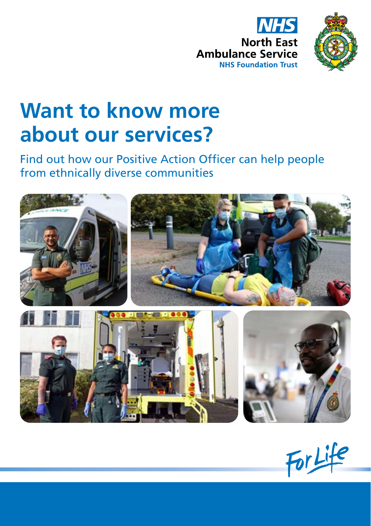



# **Want to know more about our services?**

Find out how our Positive Action Officer can help people from ethnically diverse communities



For Life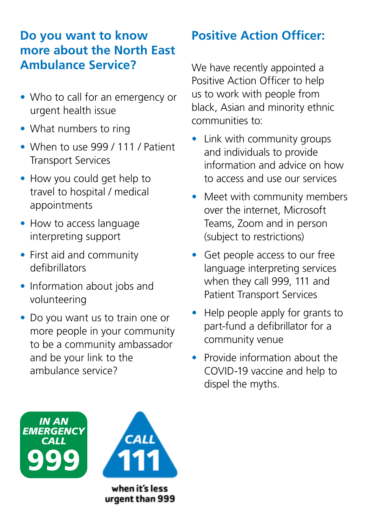## **Do you want to know more about the North East Ambulance Service?**

- Who to call for an emergency or urgent health issue
- What numbers to ring
- When to use 999 / 111 / Patient Transport Services
- How you could get help to travel to hospital / medical appointments
- How to access language interpreting support
- First aid and community defibrillators
- Information about jobs and volunteering
- Do you want us to train one or more people in your community to be a community ambassador and be your link to the ambulance service?

## **Positive Action Officer:**

We have recently appointed a Positive Action Officer to help us to work with people from black, Asian and minority ethnic communities to:

- Link with community groups and individuals to provide information and advice on how to access and use our services
- Meet with community members over the internet, Microsoft Teams, Zoom and in person (subject to restrictions)
- Get people access to our free language interpreting services when they call 999, 111 and Patient Transport Services
- Help people apply for grants to part-fund a defibrillator for a community venue
- Provide information about the COVID-19 vaccine and help to dispel the myths.



urgent than 999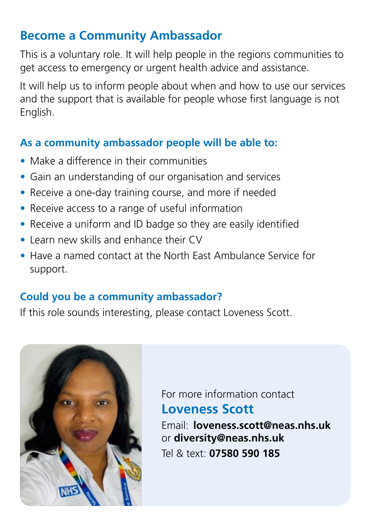## **Become a Community Ambassador**

This is a voluntary role. It will help people in the regions communities to get access to emergency or urgent health advice and assistance.

It will help us to inform people about when and how to use our services and the support that is available for people whose first language is not English.

#### **As a community ambassador people will be able to:**

- Make a difference in their communities
- Gain an understanding of our organisation and services
- Receive a one-day training course, and more if needed
- Receive access to a range of useful information
- Receive a uniform and ID badge so they are easily identified
- Learn new skills and enhance their CV
- Have a named contact at the North East Ambulance Service for support.

### **Could you be a community ambassador?**

If this role sounds interesting, please contact Loveness Scott.



For more information contact **Loveness Scott** 

Email: **loveness.scott@neas.nhs.uk**  or **diversity@neas.nhs.uk** Tel & text: **07580 590 185**